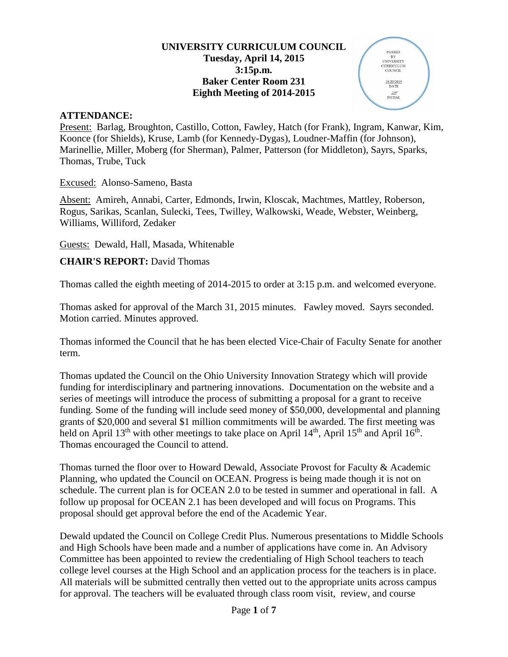#### **UNIVERSITY CURRICULUM COUNCIL Tuesday, April 14, 2015 3:15p.m. Baker Center Room 231 Eighth Meeting of 2014-2015**

PASSED PASSED<br>BY<br>UNIVERSITY<br>CURRICULUM<br>COUNCIL

> $\frac{10/20/2015}{\text{DATE}}$  $\frac{\mathcal{L}}{\mathcal{L}}$ INITIAL

#### **ATTENDANCE:**

Present: Barlag, Broughton, Castillo, Cotton, Fawley, Hatch (for Frank), Ingram, Kanwar, Kim, Koonce (for Shields), Kruse, Lamb (for Kennedy-Dygas), Loudner-Maffin (for Johnson), Marinellie, Miller, Moberg (for Sherman), Palmer, Patterson (for Middleton), Sayrs, Sparks, Thomas, Trube, Tuck

Excused: Alonso-Sameno, Basta

Absent: Amireh, Annabi, Carter, Edmonds, Irwin, Kloscak, Machtmes, Mattley, Roberson, Rogus, Sarikas, Scanlan, Sulecki, Tees, Twilley, Walkowski, Weade, Webster, Weinberg, Williams, Williford, Zedaker

Guests: Dewald, Hall, Masada, Whitenable

#### **CHAIR'S REPORT:** David Thomas

Thomas called the eighth meeting of 2014-2015 to order at 3:15 p.m. and welcomed everyone.

Thomas asked for approval of the March 31, 2015 minutes. Fawley moved. Sayrs seconded. Motion carried. Minutes approved.

Thomas informed the Council that he has been elected Vice-Chair of Faculty Senate for another term.

Thomas updated the Council on the Ohio University Innovation Strategy which will provide funding for interdisciplinary and partnering innovations. Documentation on the website and a series of meetings will introduce the process of submitting a proposal for a grant to receive funding. Some of the funding will include seed money of \$50,000, developmental and planning grants of \$20,000 and several \$1 million commitments will be awarded. The first meeting was held on April 13<sup>th</sup> with other meetings to take place on April 14<sup>th</sup>, April 15<sup>th</sup> and April 16<sup>th</sup>. Thomas encouraged the Council to attend.

Thomas turned the floor over to Howard Dewald, Associate Provost for Faculty & Academic Planning, who updated the Council on OCEAN. Progress is being made though it is not on schedule. The current plan is for OCEAN 2.0 to be tested in summer and operational in fall. A follow up proposal for OCEAN 2.1 has been developed and will focus on Programs. This proposal should get approval before the end of the Academic Year.

Dewald updated the Council on College Credit Plus. Numerous presentations to Middle Schools and High Schools have been made and a number of applications have come in. An Advisory Committee has been appointed to review the credentialing of High School teachers to teach college level courses at the High School and an application process for the teachers is in place. All materials will be submitted centrally then vetted out to the appropriate units across campus for approval. The teachers will be evaluated through class room visit, review, and course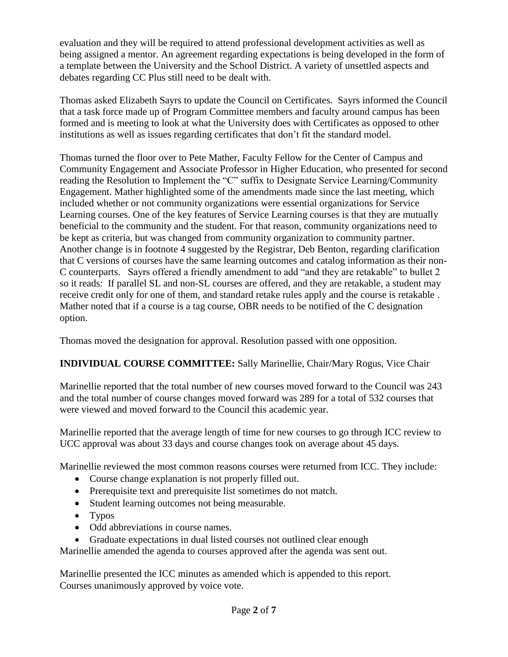evaluation and they will be required to attend professional development activities as well as being assigned a mentor. An agreement regarding expectations is being developed in the form of a template between the University and the School District. A variety of unsettled aspects and debates regarding CC Plus still need to be dealt with.

Thomas asked Elizabeth Sayrs to update the Council on Certificates. Sayrs informed the Council that a task force made up of Program Committee members and faculty around campus has been formed and is meeting to look at what the University does with Certificates as opposed to other institutions as well as issues regarding certificates that don't fit the standard model.

Thomas turned the floor over to Pete Mather, Faculty Fellow for the Center of Campus and Community Engagement and Associate Professor in Higher Education, who presented for second reading the Resolution to Implement the "C" suffix to Designate Service Learning/Community Engagement. Mather highlighted some of the amendments made since the last meeting, which included whether or not community organizations were essential organizations for Service Learning courses. One of the key features of Service Learning courses is that they are mutually beneficial to the community and the student. For that reason, community organizations need to be kept as criteria, but was changed from community organization to community partner. Another change is in footnote 4 suggested by the Registrar, Deb Benton, regarding clarification that C versions of courses have the same learning outcomes and catalog information as their non-C counterparts. Sayrs offered a friendly amendment to add "and they are retakable" to bullet 2 so it reads: If parallel SL and non-SL courses are offered, and they are retakable, a student may receive credit only for one of them, and standard retake rules apply and the course is retakable . Mather noted that if a course is a tag course, OBR needs to be notified of the C designation option.

Thomas moved the designation for approval. Resolution passed with one opposition.

# **INDIVIDUAL COURSE COMMITTEE:** Sally Marinellie, Chair/Mary Rogus, Vice Chair

Marinellie reported that the total number of new courses moved forward to the Council was 243 and the total number of course changes moved forward was 289 for a total of 532 courses that were viewed and moved forward to the Council this academic year.

Marinellie reported that the average length of time for new courses to go through ICC review to UCC approval was about 33 days and course changes took on average about 45 days.

Marinellie reviewed the most common reasons courses were returned from ICC. They include:

- Course change explanation is not properly filled out.
- Prerequisite text and prerequisite list sometimes do not match.
- Student learning outcomes not being measurable.
- Typos
- Odd abbreviations in course names.
- Graduate expectations in dual listed courses not outlined clear enough

Marinellie amended the agenda to courses approved after the agenda was sent out.

Marinellie presented the ICC minutes as amended which is appended to this report. Courses unanimously approved by voice vote.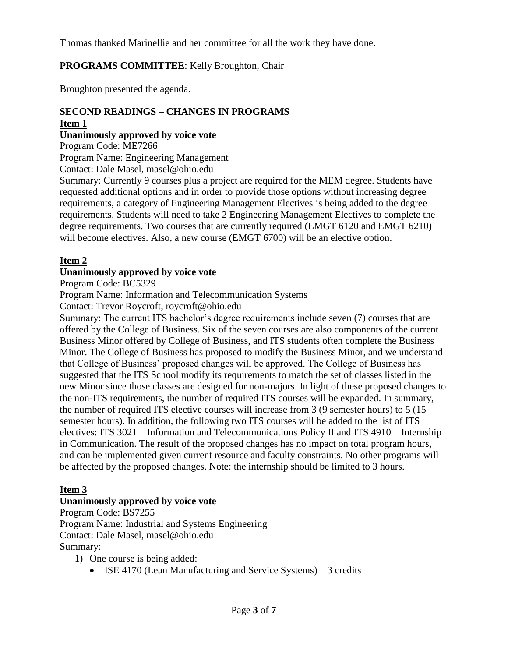Thomas thanked Marinellie and her committee for all the work they have done.

### **PROGRAMS COMMITTEE**: Kelly Broughton, Chair

Broughton presented the agenda.

#### **SECOND READINGS – CHANGES IN PROGRAMS Item 1**

**Unanimously approved by voice vote**

Program Code: ME7266

Program Name: Engineering Management

Contact: Dale Masel, masel@ohio.edu

Summary: Currently 9 courses plus a project are required for the MEM degree. Students have requested additional options and in order to provide those options without increasing degree requirements, a category of Engineering Management Electives is being added to the degree requirements. Students will need to take 2 Engineering Management Electives to complete the degree requirements. Two courses that are currently required (EMGT 6120 and EMGT 6210) will become electives. Also, a new course (EMGT 6700) will be an elective option.

#### **Item 2**

#### **Unanimously approved by voice vote**

Program Code: BC5329

Program Name: Information and Telecommunication Systems

Contact: Trevor Roycroft, roycroft@ohio.edu

Summary: The current ITS bachelor's degree requirements include seven (7) courses that are offered by the College of Business. Six of the seven courses are also components of the current Business Minor offered by College of Business, and ITS students often complete the Business Minor. The College of Business has proposed to modify the Business Minor, and we understand that College of Business' proposed changes will be approved. The College of Business has suggested that the ITS School modify its requirements to match the set of classes listed in the new Minor since those classes are designed for non-majors. In light of these proposed changes to the non-ITS requirements, the number of required ITS courses will be expanded. In summary, the number of required ITS elective courses will increase from 3 (9 semester hours) to 5 (15 semester hours). In addition, the following two ITS courses will be added to the list of ITS electives: ITS 3021—Information and Telecommunications Policy II and ITS 4910—Internship in Communication. The result of the proposed changes has no impact on total program hours, and can be implemented given current resource and faculty constraints. No other programs will be affected by the proposed changes. Note: the internship should be limited to 3 hours.

#### **Item 3**

#### **Unanimously approved by voice vote**

Program Code: BS7255 Program Name: Industrial and Systems Engineering Contact: Dale Masel, masel@ohio.edu Summary:

1) One course is being added:

• ISE 4170 (Lean Manufacturing and Service Systems) – 3 credits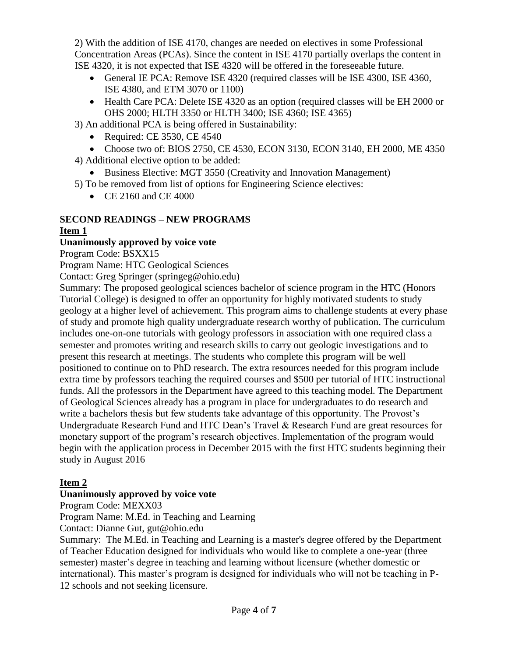2) With the addition of ISE 4170, changes are needed on electives in some Professional Concentration Areas (PCAs). Since the content in ISE 4170 partially overlaps the content in ISE 4320, it is not expected that ISE 4320 will be offered in the foreseeable future.

- General IE PCA: Remove ISE 4320 (required classes will be ISE 4300, ISE 4360, ISE 4380, and ETM 3070 or 1100)
- Health Care PCA: Delete ISE 4320 as an option (required classes will be EH 2000 or OHS 2000; HLTH 3350 or HLTH 3400; ISE 4360; ISE 4365)
- 3) An additional PCA is being offered in Sustainability:
	- Required: CE 3530, CE 4540
- Choose two of: BIOS 2750, CE 4530, ECON 3130, ECON 3140, EH 2000, ME 4350 4) Additional elective option to be added:
	- Business Elective: MGT 3550 (Creativity and Innovation Management)
- 5) To be removed from list of options for Engineering Science electives:
	- CE 2160 and CE 4000

# **SECOND READINGS – NEW PROGRAMS**

## **Item 1**

## **Unanimously approved by voice vote**

Program Code: BSXX15

Program Name: HTC Geological Sciences

Contact: Greg Springer (springeg@ohio.edu)

Summary: The proposed geological sciences bachelor of science program in the HTC (Honors Tutorial College) is designed to offer an opportunity for highly motivated students to study geology at a higher level of achievement. This program aims to challenge students at every phase of study and promote high quality undergraduate research worthy of publication. The curriculum includes one-on-one tutorials with geology professors in association with one required class a semester and promotes writing and research skills to carry out geologic investigations and to present this research at meetings. The students who complete this program will be well positioned to continue on to PhD research. The extra resources needed for this program include extra time by professors teaching the required courses and \$500 per tutorial of HTC instructional funds. All the professors in the Department have agreed to this teaching model. The Department of Geological Sciences already has a program in place for undergraduates to do research and write a bachelors thesis but few students take advantage of this opportunity. The Provost's Undergraduate Research Fund and HTC Dean's Travel & Research Fund are great resources for monetary support of the program's research objectives. Implementation of the program would begin with the application process in December 2015 with the first HTC students beginning their study in August 2016

## **Item 2**

## **Unanimously approved by voice vote**

Program Code: MEXX03

Program Name: M.Ed. in Teaching and Learning

Contact: Dianne Gut, gut@ohio.edu

Summary: The M.Ed. in Teaching and Learning is a master's degree offered by the Department of Teacher Education designed for individuals who would like to complete a one-year (three semester) master's degree in teaching and learning without licensure (whether domestic or international). This master's program is designed for individuals who will not be teaching in P-12 schools and not seeking licensure.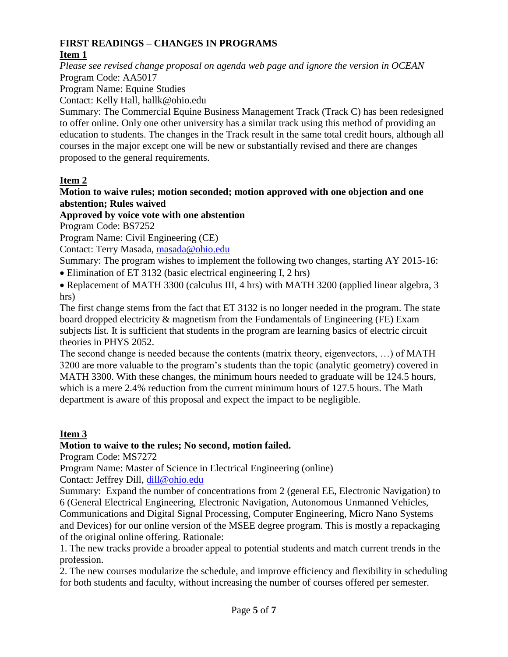# **FIRST READINGS – CHANGES IN PROGRAMS**

# **Item 1**

*Please see revised change proposal on agenda web page and ignore the version in OCEAN* Program Code: AA5017

Program Name: Equine Studies

Contact: Kelly Hall, hallk@ohio.edu

Summary: The Commercial Equine Business Management Track (Track C) has been redesigned to offer online. Only one other university has a similar track using this method of providing an education to students. The changes in the Track result in the same total credit hours, although all courses in the major except one will be new or substantially revised and there are changes proposed to the general requirements.

# **Item 2**

#### **Motion to waive rules; motion seconded; motion approved with one objection and one abstention; Rules waived**

**Approved by voice vote with one abstention**

Program Code: BS7252

Program Name: Civil Engineering (CE)

Contact: Terry Masada, [masada@ohio.edu](mailto:masada@ohio.edu)

Summary: The program wishes to implement the following two changes, starting AY 2015-16: • Elimination of ET 3132 (basic electrical engineering I, 2 hrs)

• Replacement of MATH 3300 (calculus III, 4 hrs) with MATH 3200 (applied linear algebra, 3 hrs)

The first change stems from the fact that ET 3132 is no longer needed in the program. The state board dropped electricity & magnetism from the Fundamentals of Engineering (FE) Exam subjects list. It is sufficient that students in the program are learning basics of electric circuit theories in PHYS 2052.

The second change is needed because the contents (matrix theory, eigenvectors, …) of MATH 3200 are more valuable to the program's students than the topic (analytic geometry) covered in MATH 3300. With these changes, the minimum hours needed to graduate will be 124.5 hours, which is a mere 2.4% reduction from the current minimum hours of 127.5 hours. The Math department is aware of this proposal and expect the impact to be negligible.

# **Item 3**

# **Motion to waive to the rules; No second, motion failed.**

Program Code: MS7272

Program Name: Master of Science in Electrical Engineering (online)

Contact: Jeffrey Dill, [dill@ohio.edu](mailto:dill@ohio.edu)

Summary: Expand the number of concentrations from 2 (general EE, Electronic Navigation) to 6 (General Electrical Engineering, Electronic Navigation, Autonomous Unmanned Vehicles, Communications and Digital Signal Processing, Computer Engineering, Micro Nano Systems and Devices) for our online version of the MSEE degree program. This is mostly a repackaging of the original online offering. Rationale:

1. The new tracks provide a broader appeal to potential students and match current trends in the profession.

2. The new courses modularize the schedule, and improve efficiency and flexibility in scheduling for both students and faculty, without increasing the number of courses offered per semester.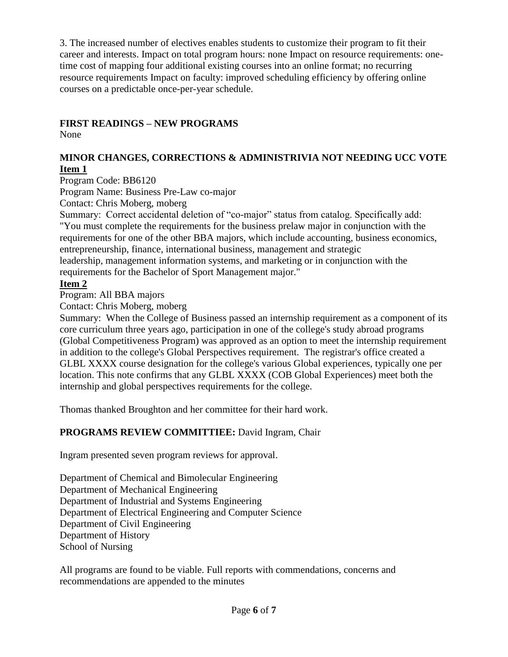3. The increased number of electives enables students to customize their program to fit their career and interests. Impact on total program hours: none Impact on resource requirements: onetime cost of mapping four additional existing courses into an online format; no recurring resource requirements Impact on faculty: improved scheduling efficiency by offering online courses on a predictable once-per-year schedule.

## **FIRST READINGS – NEW PROGRAMS**

None

### **MINOR CHANGES, CORRECTIONS & ADMINISTRIVIA NOT NEEDING UCC VOTE Item 1**

Program Code: BB6120

Program Name: Business Pre-Law co-major

Contact: Chris Moberg, moberg

Summary: Correct accidental deletion of "co-major" status from catalog. Specifically add: "You must complete the requirements for the business prelaw major in conjunction with the requirements for one of the other BBA majors, which include accounting, business economics, entrepreneurship, finance, international business, management and strategic

leadership, management information systems, and marketing or in conjunction with the requirements for the Bachelor of Sport Management major."

## **Item 2**

Program: All BBA majors

Contact: Chris Moberg, moberg

Summary: When the College of Business passed an internship requirement as a component of its core curriculum three years ago, participation in one of the college's study abroad programs (Global Competitiveness Program) was approved as an option to meet the internship requirement in addition to the college's Global Perspectives requirement. The registrar's office created a GLBL XXXX course designation for the college's various Global experiences, typically one per location. This note confirms that any GLBL XXXX (COB Global Experiences) meet both the internship and global perspectives requirements for the college.

Thomas thanked Broughton and her committee for their hard work.

## **PROGRAMS REVIEW COMMITTIEE:** David Ingram, Chair

Ingram presented seven program reviews for approval.

Department of Chemical and Bimolecular Engineering Department of Mechanical Engineering Department of Industrial and Systems Engineering Department of Electrical Engineering and Computer Science Department of Civil Engineering Department of History School of Nursing

All programs are found to be viable. Full reports with commendations, concerns and recommendations are appended to the minutes